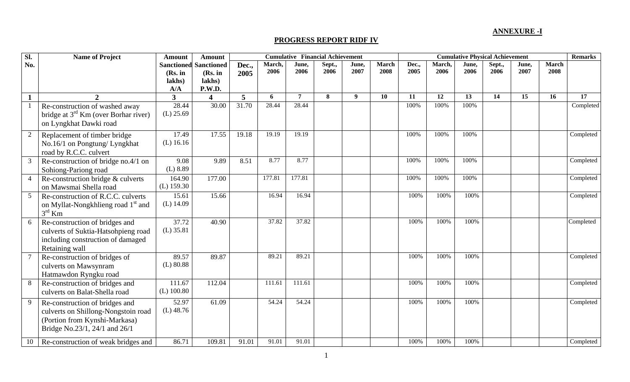## **ANNEXURE -I**

## **PROGRESS REPORT RIDF IV**

| SI.            | <b>Name of Project</b>                                                                                                                  | <b>Amount</b>                                 | <b>Amount</b>                                    | <b>Cumulative Financial Achievement</b> |                |                |                |                  |                      |               | <b>Cumulative Physical Achievement</b> |               |                |               |                      |           |
|----------------|-----------------------------------------------------------------------------------------------------------------------------------------|-----------------------------------------------|--------------------------------------------------|-----------------------------------------|----------------|----------------|----------------|------------------|----------------------|---------------|----------------------------------------|---------------|----------------|---------------|----------------------|-----------|
| No.            |                                                                                                                                         | <b>Sanctioned</b><br>(Rs. in<br>lakhs)<br>A/A | <b>Sanctioned</b><br>(Rs. in<br>lakhs)<br>P.W.D. | Dec.,<br>2005                           | March,<br>2006 | June,<br>2006  | Sept.,<br>2006 | June,<br>2007    | <b>March</b><br>2008 | Dec.,<br>2005 | March,<br>2006                         | June,<br>2006 | Sept.,<br>2006 | June,<br>2007 | <b>March</b><br>2008 |           |
|                |                                                                                                                                         | $\overline{\mathbf{3}}$                       | $\overline{\mathbf{4}}$                          | 5                                       | 6              | $\overline{7}$ | 8              | $\boldsymbol{Q}$ | 10                   | 11            | 12                                     | 13            | 14             | 15            | 16                   | 17        |
|                | Re-construction of washed away<br>bridge at 3 <sup>rd</sup> Km (over Borhar river)<br>on Lyngkhat Dawki road                            | 28.44<br>$(L)$ 25.69                          | 30.00                                            | 31.70                                   | 28.44          | 28.44          |                |                  |                      | 100%          | 100%                                   | 100%          |                |               |                      | Completed |
| 2              | Replacement of timber bridge<br>No.16/1 on Pongtung/ Lyngkhat<br>road by R.C.C. culvert                                                 | 17.49<br>$(L)$ 16.16                          | 17.55                                            | 19.18                                   | 19.19          | 19.19          |                |                  |                      | 100%          | 100%                                   | 100%          |                |               |                      | Completed |
| $\mathfrak{Z}$ | Re-construction of bridge no.4/1 on<br>Sohiong-Pariong road                                                                             | 9.08<br>(L) 8.89                              | 9.89                                             | 8.51                                    | 8.77           | 8.77           |                |                  |                      | 100%          | 100%                                   | 100%          |                |               |                      | Completed |
|                | Re-construction bridge & culverts<br>on Mawsmai Shella road                                                                             | 164.90<br>$(L)$ 159.30                        | 177.00                                           |                                         | 177.81         | 177.81         |                |                  |                      | 100%          | 100%                                   | 100%          |                |               |                      | Completed |
| 5 <sup>5</sup> | Re-construction of R.C.C. culverts<br>on Myllat-Nongkhlieng road 1 <sup>st</sup> and<br>$3rd$ Km                                        | 15.61<br>$(L)$ 14.09                          | 15.66                                            |                                         | 16.94          | 16.94          |                |                  |                      | 100%          | 100%                                   | 100%          |                |               |                      | Completed |
| 6              | Re-construction of bridges and<br>culverts of Suktia-Hatsohpieng road<br>including construction of damaged<br>Retaining wall            | 37.72<br>$(L)$ 35.81                          | 40.90                                            |                                         | 37.82          | 37.82          |                |                  |                      | 100%          | 100%                                   | 100%          |                |               |                      | Completed |
|                | Re-construction of bridges of<br>culverts on Mawsynram<br>Hatmawdon Ryngku road                                                         | 89.57<br>$(L)$ 80.88                          | 89.87                                            |                                         | 89.21          | 89.21          |                |                  |                      | 100%          | 100%                                   | 100%          |                |               |                      | Completed |
| 8              | Re-construction of bridges and<br>culverts on Balat-Shella road                                                                         | 111.67<br>$(L)$ 100.80                        | 112.04                                           |                                         | 111.61         | 111.61         |                |                  |                      | 100%          | 100%                                   | 100%          |                |               |                      | Completed |
| 9              | Re-construction of bridges and<br>culverts on Shillong-Nongstoin road<br>(Portion from Kynshi-Markasa)<br>Bridge No.23/1, 24/1 and 26/1 | 52.97<br>$(L)$ 48.76                          | 61.09                                            |                                         | 54.24          | 54.24          |                |                  |                      | 100%          | 100%                                   | 100%          |                |               |                      | Completed |
| 10             | Re-construction of weak bridges and                                                                                                     | 86.71                                         | 109.81                                           | 91.01                                   | 91.01          | 91.01          |                |                  |                      | 100%          | 100%                                   | 100%          |                |               |                      | Completed |